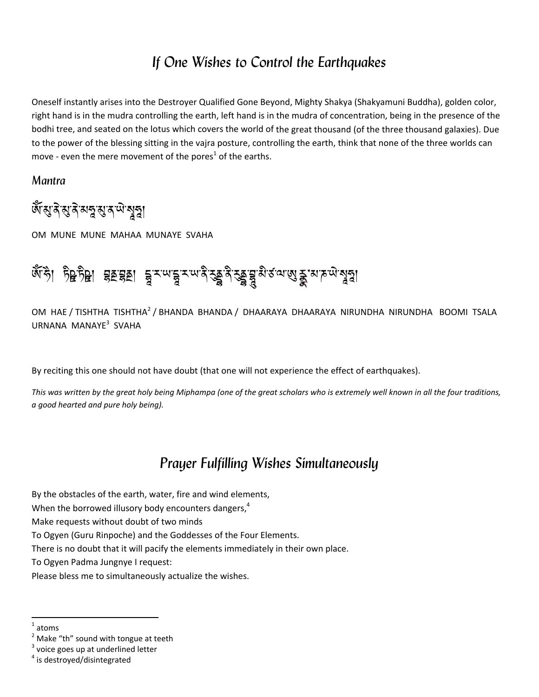## *If One Wishes to Control the Earthquakes*

Oneself instantly arises into the Destroyer Qualified Gone Beyond, Mighty Shakya (Shakyamuni Buddha), golden color, right hand is in the mudra controlling the earth, left hand is in the mudra of concentration, being in the presence of the bodhi tree, and seated on the lotus which covers the world of the great thousand (of the three thousand galaxies). Due to the power of the blessing sitting in the vajra posture, controlling the earth, think that none of the three worlds can move - even the mere movement of the pores<sup>1</sup> of the earths.

*Mantra* 

# জঁম্ভাৰ অৰ্থ কাৰ্য কৰি

OM MUNE MUNE MAHAA MUNAYE SVAHA

### ∞ ১। ১৪১৪। ২৯২৯। ই∽ৣই ৵ৢঽ৶৵ঽঽঽ ৡ৵৽ৢঽ ৵৽ৣঽয়  $\overline{\phantom{a}}$

OM HAE / TISHTHA TISHTHA<sup>2</sup> / BHANDA BHANDA / DHAARAYA DHAARAYA NIRUNDHA NIRUNDHA BOOMI TSALA URNANA MANAYE<sup>3</sup> SVAHA

By reciting this one should not have doubt (that one will not experience the effect of earthquakes).

This was written by the great holy being Miphampa (one of the great scholars who is extremely well known in all the four traditions, *a good hearted and pure holy being).* 

## *Prayer Fulfilling Wishes Simultaneously*

By the obstacles of the earth, water, fire and wind elements,

When the borrowed illusory body encounters dangers,<sup>4</sup>

Make requests without doubt of two minds

To Ogyen (Guru Rinpoche) and the Goddesses of the Four Elements.

There is no doubt that it will pacify the elements immediately in their own place.

To Ogyen Padma Jungnye I request:

Please bless me to simultaneously actualize the wishes.

atoms

<sup>&</sup>lt;sup>2</sup> Make "th" sound with tongue at teeth  $\frac{3}{4}$  voice goes up at underlined letter  $\frac{4}{1}$  is destroved/disintegrated